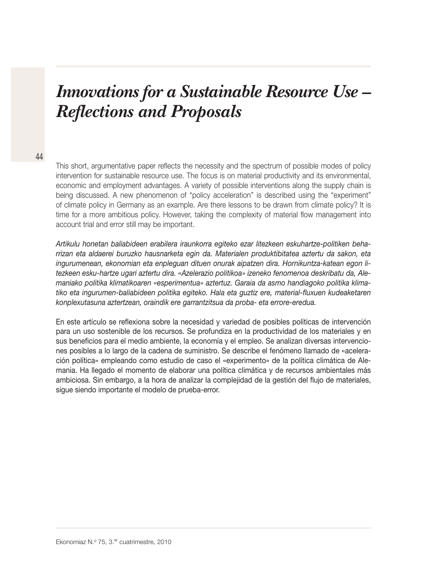# *Innovations for a Sustainable Resource Use – Reflections and Proposals*

This short, argumentative paper reflects the necessity and the spectrum of possible modes of policy intervention for sustainable resource use. The focus is on material productivity and its environmental, economic and employment advantages. A variety of possible interventions along the supply chain is being discussed. A new phenomenon of "policy acceleration" is described using the "experiment" of climate policy in Germany as an example. Are there lessons to be drawn from climate policy? It is time for a more ambitious policy. However, taking the complexity of material flow management into account trial and error still may be important.

Artikulu honetan baliabideen erabilera iraunkorra egiteko ezar litezkeen eskuhartze-politiken beharrizan eta aldaerei buruzko hausnarketa egin da. Materialen produktibitatea aztertu da sakon, eta ingurumenean, ekonomian eta enpleguan dituen onurak aipatzen dira. Hornikuntza-katean egon litezkeen esku-hartze ugari aztertu dira. «Azelerazio politikoa» izeneko fenomenoa deskribatu da, Alemaniako politika klimatikoaren «esperimentua» aztertuz. Garaia da asmo handiagoko politika klimatiko eta ingurumen-baliabideen politika egiteko. Hala eta guztiz ere, material-fluxuen kudeaketaren konplexutasuna aztertzean, oraindik ere garrantzitsua da proba- eta errore-eredua.

En este artículo se reflexiona sobre la necesidad y variedad de posibles políticas de intervención para un uso sostenible de los recursos. Se profundiza en la productividad de los materiales y en sus beneficios para el medio ambiente, la economía y el empleo. Se analizan diversas intervenciones posibles a lo largo de la cadena de suministro. Se describe el fenómeno llamado de «aceleración política» empleando como estudio de caso el «experimento» de la política climática de Alemania. Ha llegado el momento de elaborar una política climática y de recursos ambientales más ambiciosa. Sin embargo, a la hora de analizar la complejidad de la gestión del flujo de materiales, sigue siendo importante el modelo de prueba-error.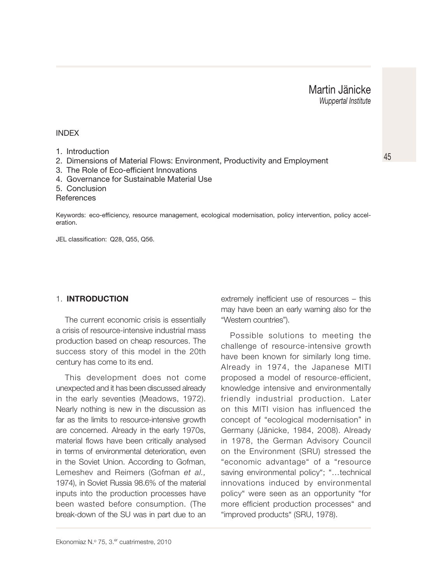#### INDEX

- 1. Introduction
- 2. Dimensions of Material Flows: Environment, Productivity and Employment
- 3. The Role of Eco-efficient Innovations
- 4. Governance for Sustainable Material Use
- 5. Conclusion

**References** 

Keywords: eco-efficiency, resource management, ecological modernisation, policy intervention, policy acceleration.

JEL classification: Q28, Q55, Q56.

#### 1. **INTRODUCTION**

The current economic crisis is essentially a crisis of resource-intensive industrial mass production based on cheap resources. The success story of this model in the 20th century has come to its end.

This development does not come unexpected and it has been discussed already in the early seventies (Meadows, 1972). Nearly nothing is new in the discussion as far as the limits to resource-intensive growth are concerned. Already in the early 1970s, material flows have been critically analysed in terms of environmental deterioration, even in the Soviet Union. According to Gofman, Lemeshev and Reimers (Gofman et al., 1974), in Soviet Russia 98.6% of the material inputs into the production processes have been wasted before consumption. (The break-down of the SU was in part due to an

extremely inefficient use of resources – this may have been an early warning also for the "Western countries").

Possible solutions to meeting the challenge of resource-intensive growth have been known for similarly long time. Already in 1974, the Japanese MITI proposed a model of resource-efficient, knowledge intensive and environmentally friendly industrial production. Later on this MITI vision has influenced the concept of "ecological modernisation" in Germany (Jänicke, 1984, 2008). Already in 1978, the German Advisory Council on the Environment (SRU) stressed the "economic advantage" of a "resource saving environmental policy"; "…technical innovations induced by environmental policy" were seen as an opportunity "for more efficient production processes" and "improved products" (SRU, 1978).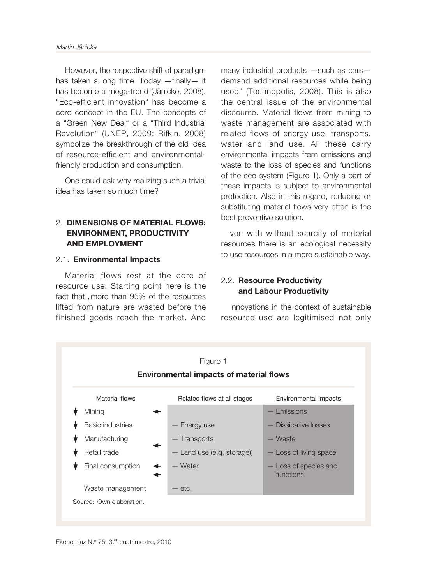However, the respective shift of paradigm has taken a long time. Today —finally— it has become a mega-trend (Jänicke, 2008). "Eco-efficient innovation" has become a core concept in the EU. The concepts of a "Green New Deal" or a "Third Industrial Revolution" (UNEP, 2009; Rifkin, 2008) symbolize the breakthrough of the old idea of resource-efficient and environmentalfriendly production and consumption.

One could ask why realizing such a trivial idea has taken so much time?

## 2. **DIMENSIONS OF MATERIAL FLOWS: ENVIRONMENT, PRODUCTIVITY AND EMPLOYMENT**

### 2.1. **Environmental Impacts**

Material flows rest at the core of resource use. Starting point here is the fact that ..more than 95% of the resources lifted from nature are wasted before the finished goods reach the market. And

many industrial products —such as cars demand additional resources while being used" (Technopolis, 2008). This is also the central issue of the environmental discourse. Material flows from mining to waste management are associated with related flows of energy use, transports, water and land use. All these carry environmental impacts from emissions and waste to the loss of species and functions of the eco-system (Figure 1). Only a part of these impacts is subject to environmental protection. Also in this regard, reducing or substituting material flows very often is the best preventive solution.

ven with without scarcity of material resources there is an ecological necessity to use resources in a more sustainable way.

# 2.2. **Resource Productivity and Labour Productivity**

Innovations in the context of sustainable resource use are legitimised not only

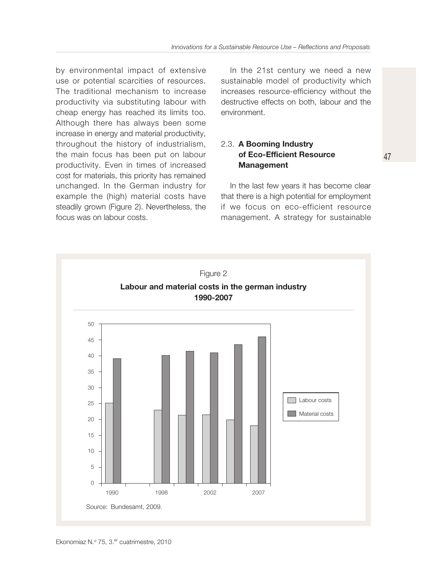by environmental impact of extensive use or potential scarcities of resources. The traditional mechanism to increase productivity via substituting labour with cheap energy has reached its limits too. Although there has always been some increase in energy and material productivity, throughout the history of industrialism, the main focus has been put on labour productivity. Even in times of increased cost for materials, this priority has remained unchanged. In the German industry for example the (high) material costs have steadily grown (Figure 2). Nevertheless, the focus was on labour costs.

In the 21st century we need a new sustainable model of productivity which increases resource-efficiency without the destructive effects on both, labour and the environment.

#### 2.3. **A Booming Industry of Eco-Efficient Resource Management**

In the last few years it has become clear that there is a high potential for employment if we focus on eco-efficient resource management. A strategy for sustainable 47

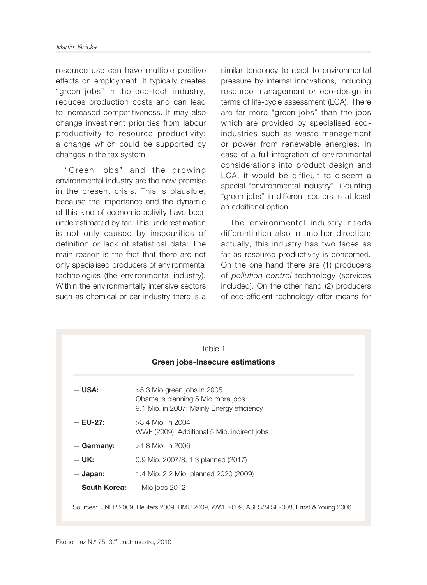resource use can have multiple positive effects on employment: It typically creates "green jobs" in the eco-tech industry, reduces production costs and can lead to increased competitiveness. It may also change investment priorities from labour productivity to resource productivity; a change which could be supported by changes in the tax system.

"Green jobs" and the growing environmental industry are the new promise in the present crisis. This is plausible, because the importance and the dynamic of this kind of economic activity have been underestimated by far. This underestimation is not only caused by insecurities of definition or lack of statistical data: The main reason is the fact that there are not only specialised producers of environmental technologies (the environmental industry). Within the environmentally intensive sectors such as chemical or car industry there is a similar tendency to react to environmental pressure by internal innovations, including resource management or eco-design in terms of life-cycle assessment (LCA). There are far more "green jobs" than the jobs which are provided by specialised ecoindustries such as waste management or power from renewable energies. In case of a full integration of environmental considerations into product design and LCA, it would be difficult to discern a special "environmental industry". Counting "green jobs" in different sectors is at least an additional option.

The environmental industry needs differentiation also in another direction: actually, this industry has two faces as far as resource productivity is concerned. On the one hand there are (1) producers of pollution control technology (services included). On the other hand (2) producers of eco-efficient technology offer means for

| Table 1                         |                                                                                                                    |
|---------------------------------|--------------------------------------------------------------------------------------------------------------------|
| Green jobs-Insecure estimations |                                                                                                                    |
| $-$ USA:                        | $>5.3$ Mio green jobs in 2005.<br>Obama is planning 5 Mio more jobs.<br>9.1 Mio. in 2007: Mainly Energy efficiency |
| $-$ EU-27:                      | $>3.4$ Mio. in 2004<br>WWF (2009): Additional 5 Mio. indirect jobs                                                 |
| $-$ Germany:                    | $>1.8$ Mio. in 2006                                                                                                |
| $-$ UK:                         | 0.9 Mio. 2007/8, 1,3 planned (2017)                                                                                |
| $-$ Japan:                      | 1.4 Mio. 2.2 Mio. planned 2020 (2009)                                                                              |
| - South Korea:                  | 1 Mio jobs 2012                                                                                                    |

Sources: UNEP 2009, Reuters 2009, BMU 2009, WWF 2009, ASES/MISI 2008, Ernst & Young 2006.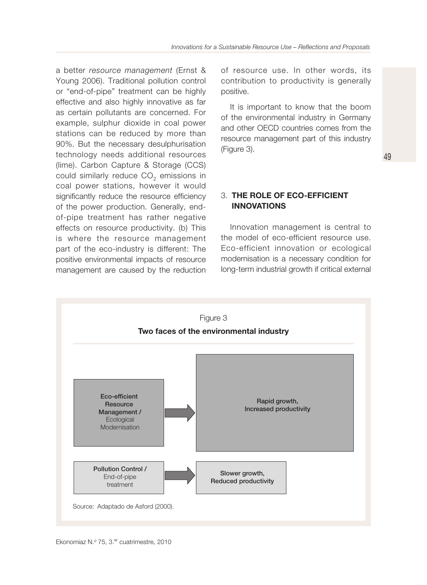a better resource management (Ernst & Young 2006). Traditional pollution control or "end-of-pipe" treatment can be highly effective and also highly innovative as far as certain pollutants are concerned. For example, sulphur dioxide in coal power stations can be reduced by more than 90%. But the necessary desulphurisation technology needs additional resources (lime). Carbon Capture & Storage (CCS) could similarly reduce CO<sub>2</sub> emissions in coal power stations, however it would significantly reduce the resource efficiency of the power production. Generally, endof-pipe treatment has rather negative effects on resource productivity. (b) This is where the resource management part of the eco-industry is different: The positive environmental impacts of resource management are caused by the reduction

of resource use. In other words, its contribution to productivity is generally positive.

It is important to know that the boom of the environmental industry in Germany and other OECD countries comes from the resource management part of this industry (Figure 3).

## 3. **THE ROLE OF ECO-EFFICIENT INNOVATIONS**

Innovation management is central to the model of eco-efficient resource use. Eco-efficient innovation or ecological modernisation is a necessary condition for long-term industrial growth if critical external

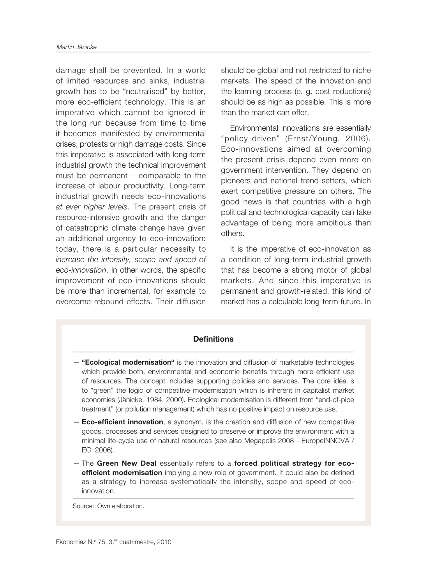damage shall be prevented. In a world of limited resources and sinks, industrial growth has to be "neutralised" by better, more eco-efficient technology. This is an imperative which cannot be ignored in the long run because from time to time it becomes manifested by environmental crises, protests or high damage costs. Since this imperative is associated with long-term industrial growth the technical improvement must be permanent – comparable to the increase of labour productivity. Long-term industrial growth needs eco-innovations at ever higher levels. The present crisis of resource-intensive growth and the danger of catastrophic climate change have given an additional urgency to eco-innovation: today, there is a particular necessity to increase the intensity, scope and speed of eco-innovation. In other words, the specific improvement of eco-innovations should be more than incremental, for example to overcome rebound-effects. Their diffusion

should be global and not restricted to niche markets. The speed of the innovation and the learning process (e. g. cost reductions) should be as high as possible. This is more than the market can offer.

Environmental innovations are essentially "policy-driven" (Ernst/Young, 2006). Eco-innovations aimed at overcoming the present crisis depend even more on government intervention. They depend on pioneers and national trend-setters, which exert competitive pressure on others. The good news is that countries with a high political and technological capacity can take advantage of being more ambitious than others.

It is the imperative of eco-innovation as a condition of long-term industrial growth that has become a strong motor of global markets. And since this imperative is permanent and growth-related, this kind of market has a calculable long-term future. In

### **Definitions**

- **"Ecological modernisation"** is the innovation and diffusion of marketable technologies which provide both, environmental and economic benefits through more efficient use of resources. The concept includes supporting policies and services. The core idea is to "green" the logic of competitive modernisation which is inherent in capitalist market economies (Jänicke, 1984, 2000). Ecological modernisation is different from "end-of-pipe treatment" (or pollution management) which has no positive impact on resource use.
- **Eco-efficient innovation**, a synonym, is the creation and diffusion of new competitive goods, processes and services designed to preserve or improve the environment with a minimal life-cycle use of natural resources (see also Megapolis 2008 - EuropeINNOVA / EC, 2006).
- The **Green New Deal** essentially refers to a **forced political strategy for ecoefficient modernisation** implying a new role of government. It could also be defined as a strategy to increase systematically the intensity, scope and speed of ecoinnovation.

Source: Own elaboration.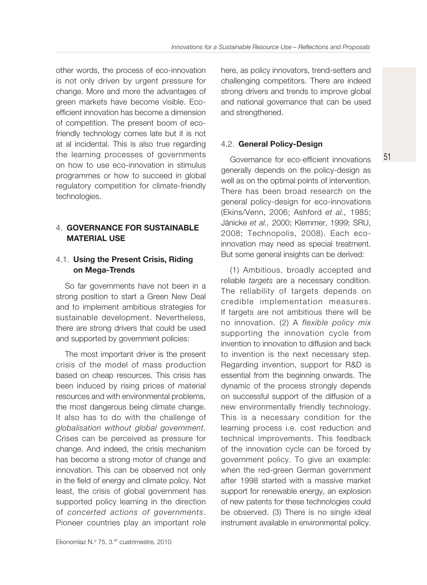other words, the process of eco-innovation is not only driven by urgent pressure for change. More and more the advantages of green markets have become visible. Ecoefficient innovation has become a dimension of competition. The present boom of ecofriendly technology comes late but it is not at al incidental. This is also true regarding the learning processes of governments on how to use eco-innovation in stimulus programmes or how to succeed in global regulatory competition for climate-friendly technologies.

# 4. **GOVERNANCE FOR SUSTAINABLE MATERIAL USE**

## 4.1. **Using the Present Crisis, Riding on Mega-Trends**

So far governments have not been in a strong position to start a Green New Deal and to implement ambitious strategies for sustainable development. Nevertheless, there are strong drivers that could be used and supported by government policies:

The most important driver is the present crisis of the model of mass production based on cheap resources. This crisis has been induced by rising prices of material resources and with environmental problems, the most dangerous being climate change. It also has to do with the challenge of globalisation without global government. Crises can be perceived as pressure for change. And indeed, the crisis mechanism has become a strong motor of change and innovation. This can be observed not only in the field of energy and climate policy. Not least, the crisis of global government has supported policy learning in the direction of concerted actions of governments. Pioneer countries play an important role

here, as policy innovators, trend-setters and challenging competitors. There are indeed strong drivers and trends to improve global and national governance that can be used and strengthened.

## 4.2. **General Policy-Design**

Governance for eco-efficient innovations generally depends on the policy-design as well as on the optimal points of intervention. There has been broad research on the general policy-design for eco-innovations (Ekins/Venn, 2006; Ashford et al., 1985; Jänicke et al., 2000; Klemmer, 1999; SRU, 2008; Technopolis, 2008). Each ecoinnovation may need as special treatment. But some general insights can be derived:

51

(1) Ambitious, broadly accepted and reliable targets are a necessary condition. The reliability of targets depends on credible implementation measures. If targets are not ambitious there will be no innovation. (2) A flexible policy mix supporting the innovation cycle from invention to innovation to diffusion and back to invention is the next necessary step. Regarding invention, support for R&D is essential from the beginning onwards. The dynamic of the process strongly depends on successful support of the diffusion of a new environmentally friendly technology. This is a necessary condition for the learning process i.e. cost reduction and technical improvements. This feedback of the innovation cycle can be forced by government policy. To give an example: when the red-green German government after 1998 started with a massive market support for renewable energy, an explosion of new patents for these technologies could be observed. (3) There is no single ideal instrument available in environmental policy.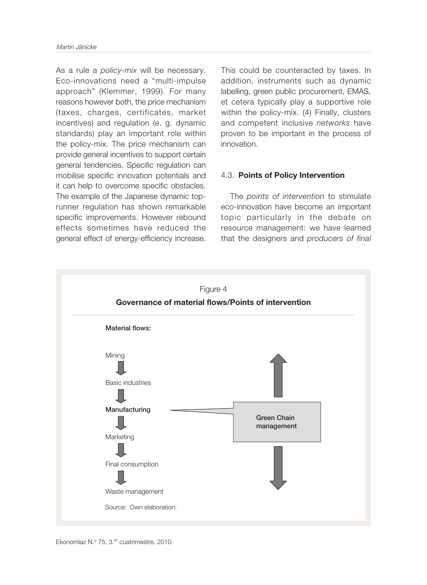As a rule a *policy-mix* will be necessary. Eco-innovations need a "multi-impulse approach" (Klemmer, 1999). For many reasons however both, the price mechanism (taxes, charges, certificates, market incentives) and regulation (e. g. dynamic standards) play an important role within the policy-mix. The price mechanism can provide general incentives to support certain general tendencies. Specific regulation can mobilise specific innovation potentials and it can help to overcome specific obstacles. The example of the Japanese dynamic toprunner regulation has shown remarkable specific improvements. However rebound effects sometimes have reduced the general effect of energy-efficiency increase.

This could be counteracted by taxes. In addition, instruments such as dynamic labelling, green public procurement, EMAS, et cetera typically play a supportive role within the policy-mix. (4) Finally, clusters and competent inclusive networks have proven to be important in the process of innovation.

### 4.3. **Points of Policy Intervention**

The points of intervention to stimulate eco-innovation have become an important topic particularly in the debate on resource management: we have learned that the designers and producers of final

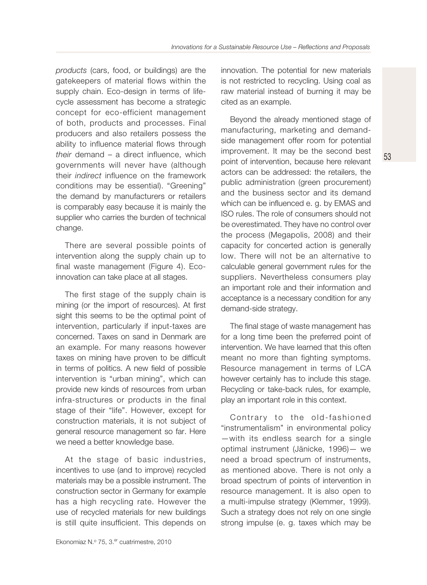products (cars, food, or buildings) are the gatekeepers of material flows within the supply chain. Eco-design in terms of lifecycle assessment has become a strategic concept for eco-efficient management of both, products and processes. Final producers and also retailers possess the ability to influence material flows through their demand – a direct influence, which governments will never have (although their indirect influence on the framework conditions may be essential). "Greening" the demand by manufacturers or retailers is comparably easy because it is mainly the supplier who carries the burden of technical change.

There are several possible points of intervention along the supply chain up to final waste management (Figure 4). Ecoinnovation can take place at all stages.

The first stage of the supply chain is mining (or the import of resources). At first sight this seems to be the optimal point of intervention, particularly if input-taxes are concerned. Taxes on sand in Denmark are an example. For many reasons however taxes on mining have proven to be difficult in terms of politics. A new field of possible intervention is "urban mining", which can provide new kinds of resources from urban infra-structures or products in the final stage of their "life". However, except for construction materials, it is not subject of general resource management so far. Here we need a better knowledge base.

At the stage of basic industries, incentives to use (and to improve) recycled materials may be a possible instrument. The construction sector in Germany for example has a high recycling rate. However the use of recycled materials for new buildings is still quite insufficient. This depends on innovation. The potential for new materials is not restricted to recycling. Using coal as raw material instead of burning it may be cited as an example.

Beyond the already mentioned stage of manufacturing, marketing and demandside management offer room for potential improvement. It may be the second best point of intervention, because here relevant actors can be addressed: the retailers, the public administration (green procurement) and the business sector and its demand which can be influenced e. g. by EMAS and ISO rules. The role of consumers should not be overestimated. They have no control over the process (Megapolis, 2008) and their capacity for concerted action is generally low. There will not be an alternative to calculable general government rules for the suppliers. Nevertheless consumers play an important role and their information and acceptance is a necessary condition for any demand-side strategy.

53

The final stage of waste management has for a long time been the preferred point of intervention. We have learned that this often meant no more than fighting symptoms. Resource management in terms of LCA however certainly has to include this stage. Recycling or take-back rules, for example, play an important role in this context.

Contrary to the old-fashioned "instrumentalism" in environmental policy —with its endless search for a single optimal instrument (Jänicke, 1996)— we need a broad spectrum of instruments, as mentioned above. There is not only a broad spectrum of points of intervention in resource management. It is also open to a multi-impulse strategy (Klemmer, 1999). Such a strategy does not rely on one single strong impulse (e. g. taxes which may be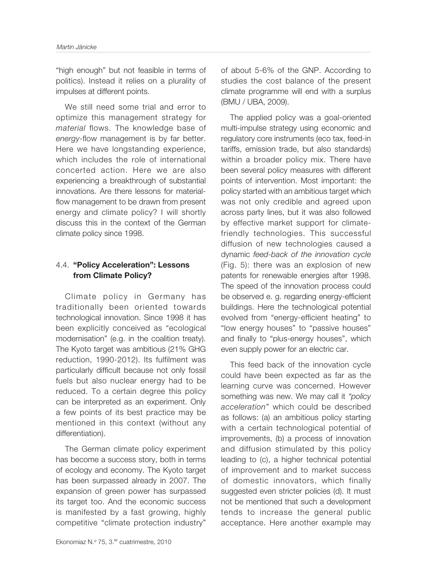"high enough" but not feasible in terms of politics). Instead it relies on a plurality of impulses at different points.

We still need some trial and error to optimize this management strategy for material flows. The knowledge base of energy-flow management is by far better. Here we have longstanding experience, which includes the role of international concerted action. Here we are also experiencing a breakthrough of substantial innovations. Are there lessons for materialflow management to be drawn from present energy and climate policy? I will shortly discuss this in the context of the German climate policy since 1998.

# 4.4. **"Policy Acceleration": Lessons from Climate Policy?**

Climate policy in Germany has traditionally been oriented towards technological innovation. Since 1998 it has been explicitly conceived as "ecological modernisation" (e.g. in the coalition treaty). The Kyoto target was ambitious (21% GHG reduction, 1990-2012). Its fulfilment was particularly difficult because not only fossil fuels but also nuclear energy had to be reduced. To a certain degree this policy can be interpreted as an experiment. Only a few points of its best practice may be mentioned in this context (without any differentiation).

The German climate policy experiment has become a success story, both in terms of ecology and economy. The Kyoto target has been surpassed already in 2007. The expansion of green power has surpassed its target too. And the economic success is manifested by a fast growing, highly competitive "climate protection industry"

of about 5-6% of the GNP. According to studies the cost balance of the present climate programme will end with a surplus (BMU / UBA, 2009).

The applied policy was a goal-oriented multi-impulse strategy using economic and regulatory core instruments (eco tax, feed-in tariffs, emission trade, but also standards) within a broader policy mix. There have been several policy measures with different points of intervention. Most important: the policy started with an ambitious target which was not only credible and agreed upon across party lines, but it was also followed by effective market support for climatefriendly technologies. This successful diffusion of new technologies caused a dynamic feed-back of the innovation cycle (Fig. 5): there was an explosion of new patents for renewable energies after 1998. The speed of the innovation process could be observed e. g. regarding energy-efficient buildings. Here the technological potential evolved from "energy-efficient heating" to "low energy houses" to "passive houses" and finally to "plus-energy houses", which even supply power for an electric car.

This feed back of the innovation cycle could have been expected as far as the learning curve was concerned. However something was new. We may call it "policy" acceleration" which could be described as follows: (a) an ambitious policy starting with a certain technological potential of improvements, (b) a process of innovation and diffusion stimulated by this policy leading to (c), a higher technical potential of improvement and to market success of domestic innovators, which finally suggested even stricter policies (d). It must not be mentioned that such a development tends to increase the general public acceptance. Here another example may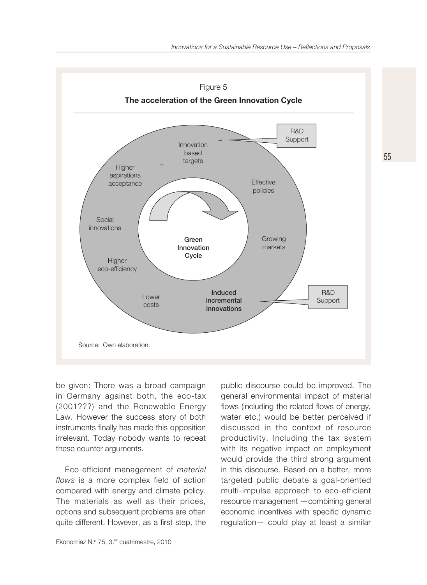

be given: There was a broad campaign in Germany against both, the eco-tax (2001???) and the Renewable Energy Law. However the success story of both instruments finally has made this opposition irrelevant. Today nobody wants to repeat these counter arguments.

Eco-efficient management of material flows is a more complex field of action compared with energy and climate policy. The materials as well as their prices, options and subsequent problems are often quite different. However, as a first step, the

public discourse could be improved. The general environmental impact of material flows (including the related flows of energy, water etc.) would be better perceived if discussed in the context of resource productivity. Including the tax system with its negative impact on employment would provide the third strong argument in this discourse. Based on a better, more targeted public debate a goal-oriented multi-impulse approach to eco-efficient resource management —combining general economic incentives with specific dynamic regulation— could play at least a similar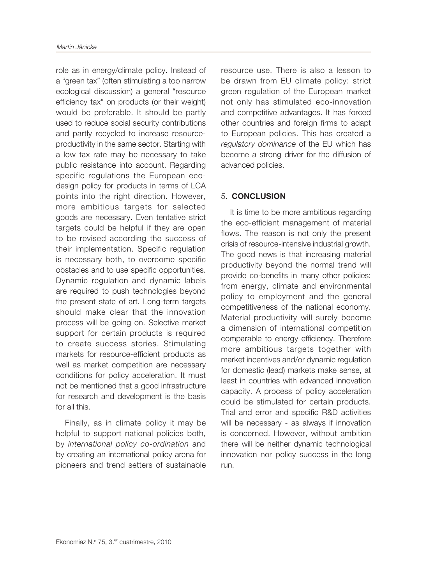role as in energy/climate policy. Instead of a "green tax" (often stimulating a too narrow ecological discussion) a general "resource efficiency tax" on products (or their weight) would be preferable. It should be partly used to reduce social security contributions and partly recycled to increase resourceproductivity in the same sector. Starting with a low tax rate may be necessary to take public resistance into account. Regarding specific regulations the European ecodesign policy for products in terms of LCA points into the right direction. However, more ambitious targets for selected goods are necessary. Even tentative strict targets could be helpful if they are open to be revised according the success of their implementation. Specific regulation is necessary both, to overcome specific obstacles and to use specific opportunities. Dynamic regulation and dynamic labels are required to push technologies beyond the present state of art. Long-term targets should make clear that the innovation process will be going on. Selective market support for certain products is required to create success stories. Stimulating markets for resource-efficient products as well as market competition are necessary conditions for policy acceleration. It must not be mentioned that a good infrastructure for research and development is the basis for all this.

Finally, as in climate policy it may be helpful to support national policies both, by international policy co-ordination and by creating an international policy arena for pioneers and trend setters of sustainable

resource use. There is also a lesson to be drawn from EU climate policy: strict green regulation of the European market not only has stimulated eco-innovation and competitive advantages. It has forced other countries and foreign firms to adapt to European policies. This has created a regulatory dominance of the EU which has become a strong driver for the diffusion of advanced policies.

#### 5. **CONCLUSION**

It is time to be more ambitious regarding the eco-efficient management of material flows. The reason is not only the present crisis of resource-intensive industrial growth. The good news is that increasing material productivity beyond the normal trend will provide co-benefits in many other policies: from energy, climate and environmental policy to employment and the general competitiveness of the national economy. Material productivity will surely become a dimension of international competition comparable to energy efficiency. Therefore more ambitious targets together with market incentives and/or dynamic regulation for domestic (lead) markets make sense, at least in countries with advanced innovation capacity. A process of policy acceleration could be stimulated for certain products. Trial and error and specific R&D activities will be necessary - as always if innovation is concerned. However, without ambition there will be neither dynamic technological innovation nor policy success in the long run.